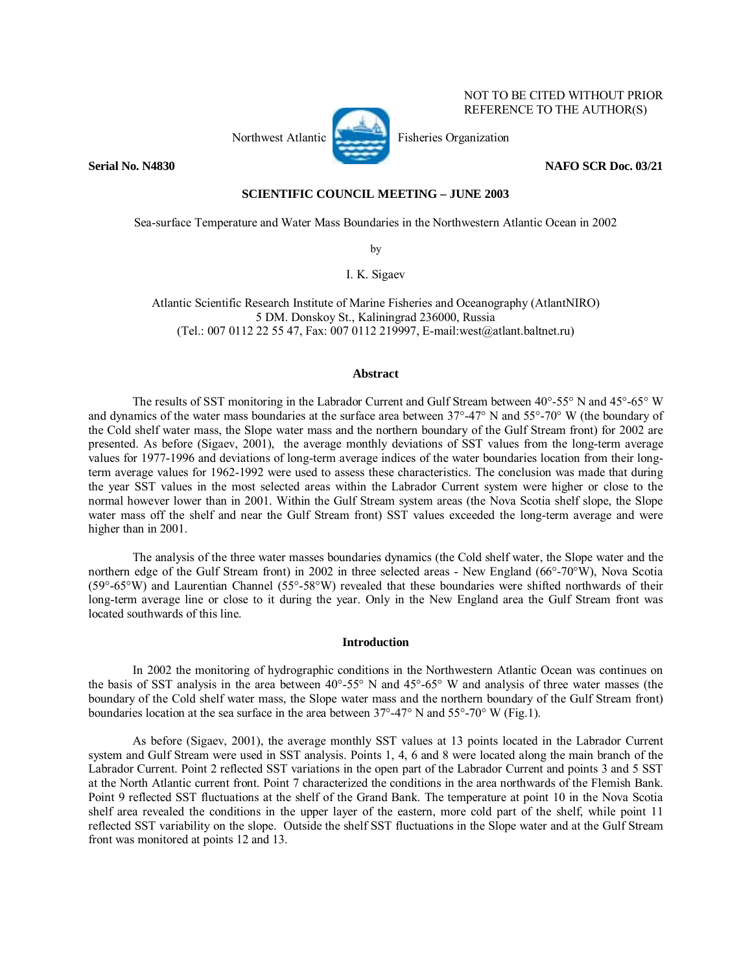

NOT TO BE CITED WITHOUT PRIOR REFERENCE TO THE AUTHOR(S)

## **Serial No. N4830** NAFO SCR Doc. 03/21

# **SCIENTIFIC COUNCIL MEETING – JUNE 2003**

Sea-surface Temperature and Water Mass Boundaries in the Northwestern Atlantic Ocean in 2002

by

I. K. Sigaev

Atlantic Scientific Research Institute of Marine Fisheries and Oceanography (AtlantNIRO) 5 DM. Donskoy St., Kaliningrad 236000, Russia (Tel.: 007 0112 22 55 47, Fax: 007 0112 219997, E-mail:west@atlant.baltnet.ru)

### **Abstract**

The results of SST monitoring in the Labrador Current and Gulf Stream between 40°-55° N and 45°-65° W and dynamics of the water mass boundaries at the surface area between 37°-47° N and 55°-70° W (the boundary of the Cold shelf water mass, the Slope water mass and the northern boundary of the Gulf Stream front) for 2002 are presented. As before (Sigaev, 2001), the average monthly deviations of SST values from the long-term average values for 1977-1996 and deviations of long-term average indices of the water boundaries location from their longterm average values for 1962-1992 were used to assess these characteristics. The conclusion was made that during the year SST values in the most selected areas within the Labrador Current system were higher or close to the normal however lower than in 2001. Within the Gulf Stream system areas (the Nova Scotia shelf slope, the Slope water mass off the shelf and near the Gulf Stream front) SST values exceeded the long-term average and were higher than in 2001.

The analysis of the three water masses boundaries dynamics (the Cold shelf water, the Slope water and the northern edge of the Gulf Stream front) in 2002 in three selected areas - New England (66°-70°W), Nova Scotia (59°-65°W) and Laurentian Channel (55°-58°W) revealed that these boundaries were shifted northwards of their long-term average line or close to it during the year. Only in the New England area the Gulf Stream front was located southwards of this line.

### **Introduction**

In 2002 the monitoring of hydrographic conditions in the Northwestern Atlantic Ocean was continues on the basis of SST analysis in the area between 40°-55° N and 45°-65° W and analysis of three water masses (the boundary of the Cold shelf water mass, the Slope water mass and the northern boundary of the Gulf Stream front) boundaries location at the sea surface in the area between 37°-47° N and 55°-70° W (Fig.1).

As before (Sigaev, 2001), the average monthly SST values at 13 points located in the Labrador Current system and Gulf Stream were used in SST analysis. Points 1, 4, 6 and 8 were located along the main branch of the Labrador Current. Point 2 reflected SST variations in the open part of the Labrador Current and points 3 and 5 SST at the North Atlantic current front. Point 7 characterized the conditions in the area northwards of the Flemish Bank. Point 9 reflected SST fluctuations at the shelf of the Grand Bank. The temperature at point 10 in the Nova Scotia shelf area revealed the conditions in the upper layer of the eastern, more cold part of the shelf, while point 11 reflected SST variability on the slope. Outside the shelf SST fluctuations in the Slope water and at the Gulf Stream front was monitored at points 12 and 13.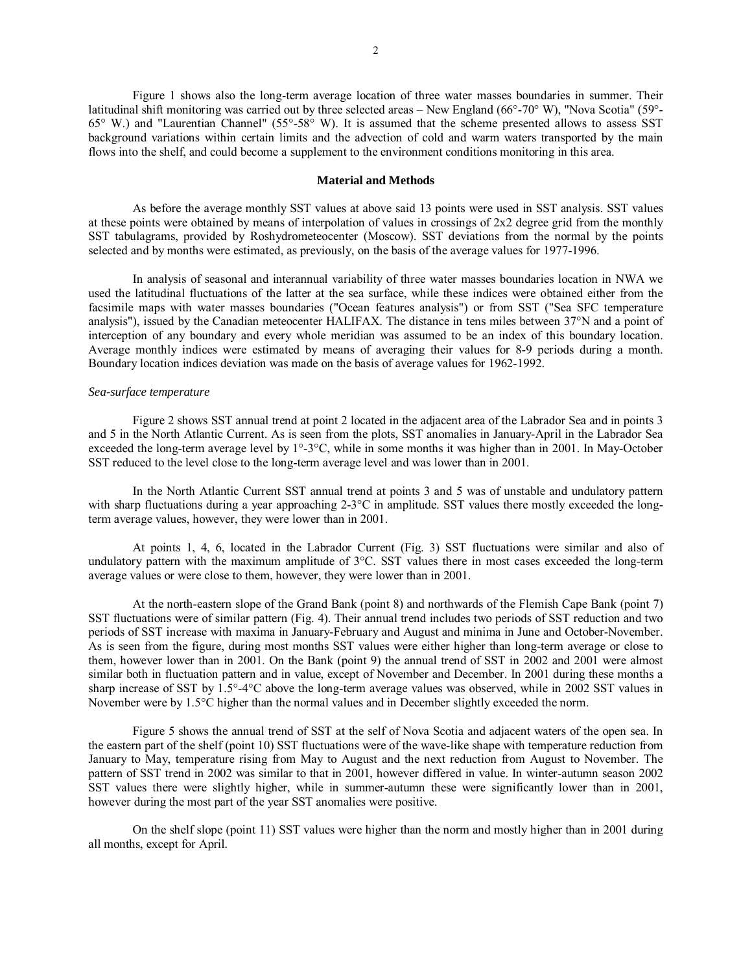Figure 1 shows also the long-term average location of three water masses boundaries in summer. Their latitudinal shift monitoring was carried out by three selected areas – New England (66°-70° W), "Nova Scotia" (59°-65° W.) and "Laurentian Channel" (55°-58° W). It is assumed that the scheme presented allows to assess SST background variations within certain limits and the advection of cold and warm waters transported by the main flows into the shelf, and could become a supplement to the environment conditions monitoring in this area.

### **Material and Methods**

As before the average monthly SST values at above said 13 points were used in SST analysis. SST values at these points were obtained by means of interpolation of values in crossings of 2x2 degree grid from the monthly SST tabulagrams, provided by Roshydrometeocenter (Moscow). SST deviations from the normal by the points selected and by months were estimated, as previously, on the basis of the average values for 1977-1996.

In analysis of seasonal and interannual variability of three water masses boundaries location in NWA we used the latitudinal fluctuations of the latter at the sea surface, while these indices were obtained either from the facsimile maps with water masses boundaries ("Ocean features analysis") or from SST ("Sea SFC temperature analysis"), issued by the Canadian meteocenter HALIFAX. The distance in tens miles between 37°N and a point of interception of any boundary and every whole meridian was assumed to be an index of this boundary location. Average monthly indices were estimated by means of averaging their values for 8-9 periods during a month. Boundary location indices deviation was made on the basis of average values for 1962-1992.

#### *Sea-surface temperature*

Figure 2 shows SST annual trend at point 2 located in the adjacent area of the Labrador Sea and in points 3 and 5 in the North Atlantic Current. As is seen from the plots, SST anomalies in January-April in the Labrador Sea exceeded the long-term average level by 1°-3°C, while in some months it was higher than in 2001. In May-October SST reduced to the level close to the long-term average level and was lower than in 2001.

In the North Atlantic Current SST annual trend at points 3 and 5 was of unstable and undulatory pattern with sharp fluctuations during a year approaching 2-3<sup>o</sup>C in amplitude. SST values there mostly exceeded the longterm average values, however, they were lower than in 2001.

At points 1, 4, 6, located in the Labrador Current (Fig. 3) SST fluctuations were similar and also of undulatory pattern with the maximum amplitude of 3°С. SST values there in most cases exceeded the long-term average values or were close to them, however, they were lower than in 2001.

At the north-eastern slope of the Grand Bank (point 8) and northwards of the Flemish Cape Bank (point 7) SST fluctuations were of similar pattern (Fig. 4). Their annual trend includes two periods of SST reduction and two periods of SST increase with maxima in January-February and August and minima in June and October-November. As is seen from the figure, during most months SST values were either higher than long-term average or close to them, however lower than in 2001. On the Bank (point 9) the annual trend of SST in 2002 and 2001 were almost similar both in fluctuation pattern and in value, except of November and December. In 2001 during these months a sharp increase of SST by 1.5°-4°С above the long-term average values was observed, while in 2002 SST values in November were by 1.5°С higher than the normal values and in December slightly exceeded the norm.

Figure 5 shows the annual trend of SST at the self of Nova Scotia and adjacent waters of the open sea. In the eastern part of the shelf (point 10) SST fluctuations were of the wave-like shape with temperature reduction from January to May, temperature rising from May to August and the next reduction from August to November. The pattern of SST trend in 2002 was similar to that in 2001, however differed in value. In winter-autumn season 2002 SST values there were slightly higher, while in summer-autumn these were significantly lower than in 2001, however during the most part of the year SST anomalies were positive.

On the shelf slope (point 11) SST values were higher than the norm and mostly higher than in 2001 during all months, except for April.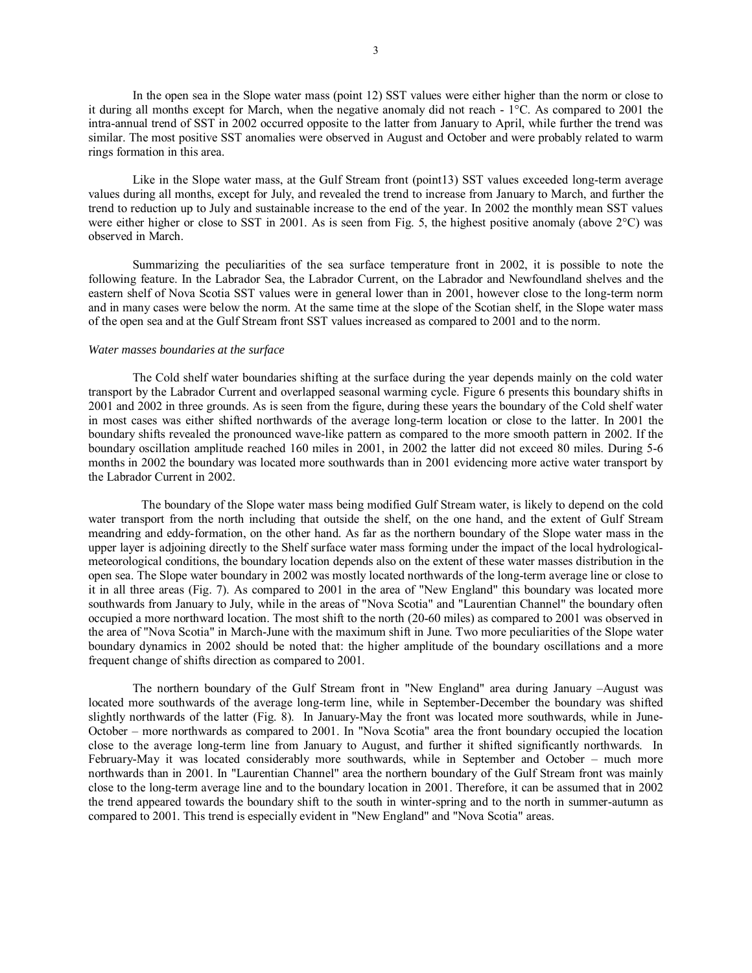In the open sea in the Slope water mass (point 12) SST values were either higher than the norm or close to it during all months except for March, when the negative anomaly did not reach - 1°С. As compared to 2001 the intra-annual trend of SST in 2002 occurred opposite to the latter from January to April, while further the trend was similar. The most positive SST anomalies were observed in August and October and were probably related to warm rings formation in this area.

Like in the Slope water mass, at the Gulf Stream front (point13) SST values exceeded long-term average values during all months, except for July, and revealed the trend to increase from January to March, and further the trend to reduction up to July and sustainable increase to the end of the year. In 2002 the monthly mean SST values were either higher or close to SST in 2001. As is seen from Fig. 5, the highest positive anomaly (above 2°С) was observed in March.

Summarizing the peculiarities of the sea surface temperature front in 2002, it is possible to note the following feature. In the Labrador Sea, the Labrador Current, on the Labrador and Newfoundland shelves and the eastern shelf of Nova Scotia SST values were in general lower than in 2001, however close to the long-term norm and in many cases were below the norm. At the same time at the slope of the Scotian shelf, in the Slope water mass of the open sea and at the Gulf Stream front SST values increased as compared to 2001 and to the norm.

#### *Water masses boundaries at the surface*

The Cold shelf water boundaries shifting at the surface during the year depends mainly on the cold water transport by the Labrador Current and overlapped seasonal warming cycle. Figure 6 presents this boundary shifts in 2001 and 2002 in three grounds. As is seen from the figure, during these years the boundary of the Cold shelf water in most cases was either shifted northwards of the average long-term location or close to the latter. In 2001 the boundary shifts revealed the pronounced wave-like pattern as compared to the more smooth pattern in 2002. If the boundary oscillation amplitude reached 160 miles in 2001, in 2002 the latter did not exceed 80 miles. During 5-6 months in 2002 the boundary was located more southwards than in 2001 evidencing more active water transport by the Labrador Current in 2002.

 The boundary of the Slope water mass being modified Gulf Stream water, is likely to depend on the cold water transport from the north including that outside the shelf, on the one hand, and the extent of Gulf Stream meandring and eddy-formation, on the other hand. As far as the northern boundary of the Slope water mass in the upper layer is adjoining directly to the Shelf surface water mass forming under the impact of the local hydrologicalmeteorological conditions, the boundary location depends also on the extent of these water masses distribution in the open sea. The Slope water boundary in 2002 was mostly located northwards of the long-term average line or close to it in all three areas (Fig. 7). As compared to 2001 in the area of "New England" this boundary was located more southwards from January to July, while in the areas of "Nova Scotia" and "Laurentian Channel" the boundary often occupied a more northward location. The most shift to the north (20-60 miles) as compared to 2001 was observed in the area of "Nova Scotia" in March-June with the maximum shift in June. Two more peculiarities of the Slope water boundary dynamics in 2002 should be noted that: the higher amplitude of the boundary oscillations and a more frequent change of shifts direction as compared to 2001.

The northern boundary of the Gulf Stream front in "New England" area during January -August was located more southwards of the average long-term line, while in September-December the boundary was shifted slightly northwards of the latter (Fig. 8). In January-May the front was located more southwards, while in June-October – more northwards as compared to 2001. In "Nova Scotia" area the front boundary occupied the location close to the average long-term line from January to August, and further it shifted significantly northwards. In February-May it was located considerably more southwards, while in September and October – much more northwards than in 2001. In "Laurentian Channel" area the northern boundary of the Gulf Stream front was mainly close to the long-term average line and to the boundary location in 2001. Therefore, it can be assumed that in 2002 the trend appeared towards the boundary shift to the south in winter-spring and to the north in summer-autumn as compared to 2001. This trend is especially evident in "New England" and "Nova Scotia" areas.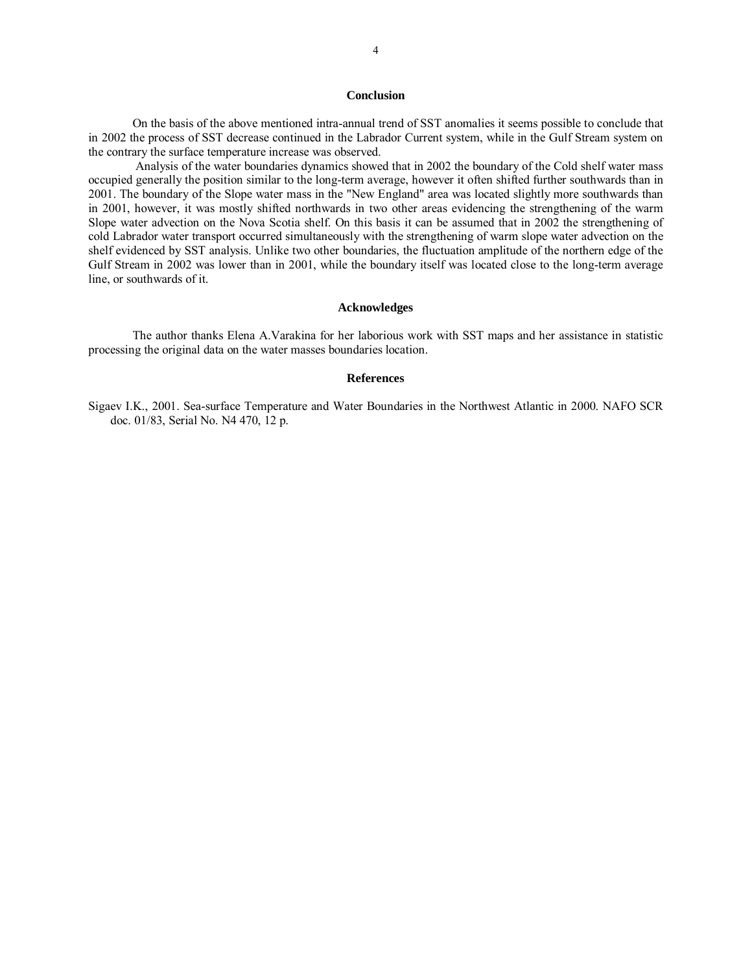### **Conclusion**

On the basis of the above mentioned intra-annual trend of SST anomalies it seems possible to conclude that in 2002 the process of SST decrease continued in the Labrador Current system, while in the Gulf Stream system on the contrary the surface temperature increase was observed.

 Analysis of the water boundaries dynamics showed that in 2002 the boundary of the Cold shelf water mass occupied generally the position similar to the long-term average, however it often shifted further southwards than in 2001. The boundary of the Slope water mass in the "New England" area was located slightly more southwards than in 2001, however, it was mostly shifted northwards in two other areas evidencing the strengthening of the warm Slope water advection on the Nova Scotia shelf. On this basis it can be assumed that in 2002 the strengthening of cold Labrador water transport occurred simultaneously with the strengthening of warm slope water advection on the shelf evidenced by SST analysis. Unlike two other boundaries, the fluctuation amplitude of the northern edge of the Gulf Stream in 2002 was lower than in 2001, while the boundary itself was located close to the long-term average line, or southwards of it.

#### **Acknowledges**

The author thanks Elena A.Varakina for her laborious work with SST maps and her assistance in statistic processing the original data on the water masses boundaries location.

#### **References**

Sigaev I.K., 2001. Sea-surface Temperature and Water Boundaries in the Northwest Atlantic in 2000. NAFO SCR doc. 01/83, Serial No. N4 470, 12 p.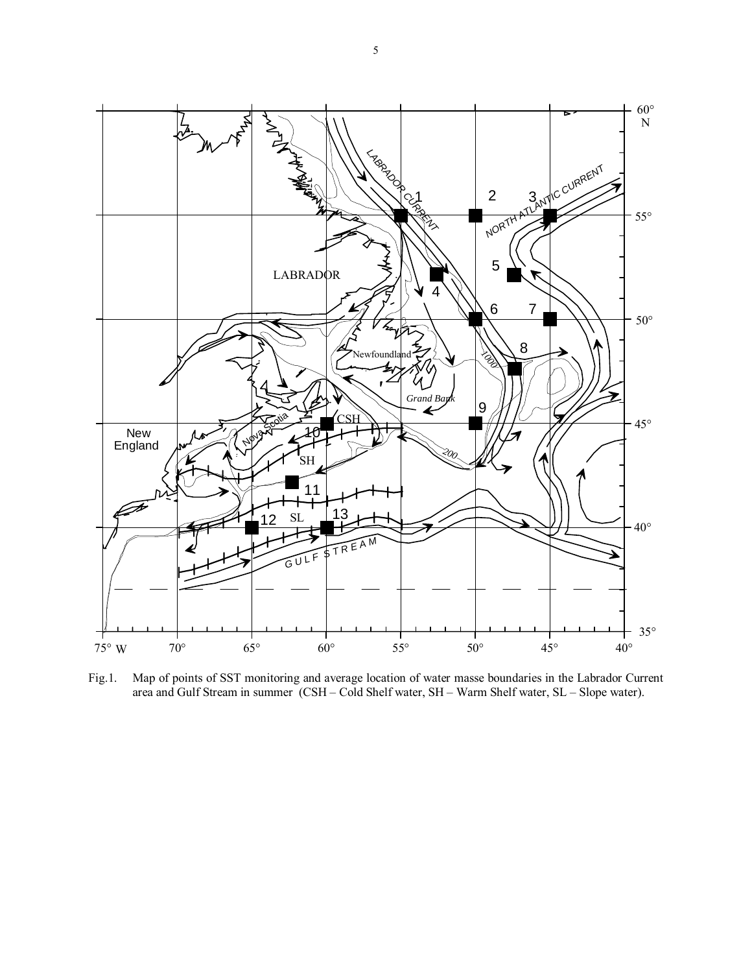

Fig.1. Map of points of SST monitoring and average location of water masse boundaries in the Labrador Current area and Gulf Stream in summer (CSH - Cold Shelf water, SH - Warm Shelf water, SL - Slope water).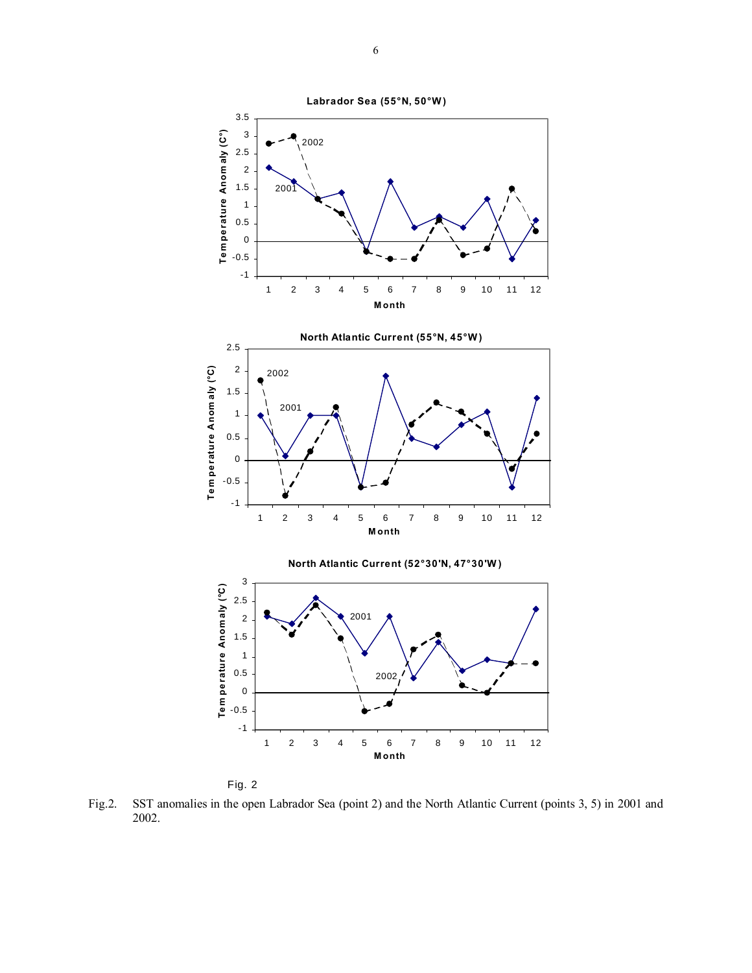



Fig.2. SST anomalies in the open Labrador Sea (point 2) and the North Atlantic Current (points 3, 5) in 2001 and 2002.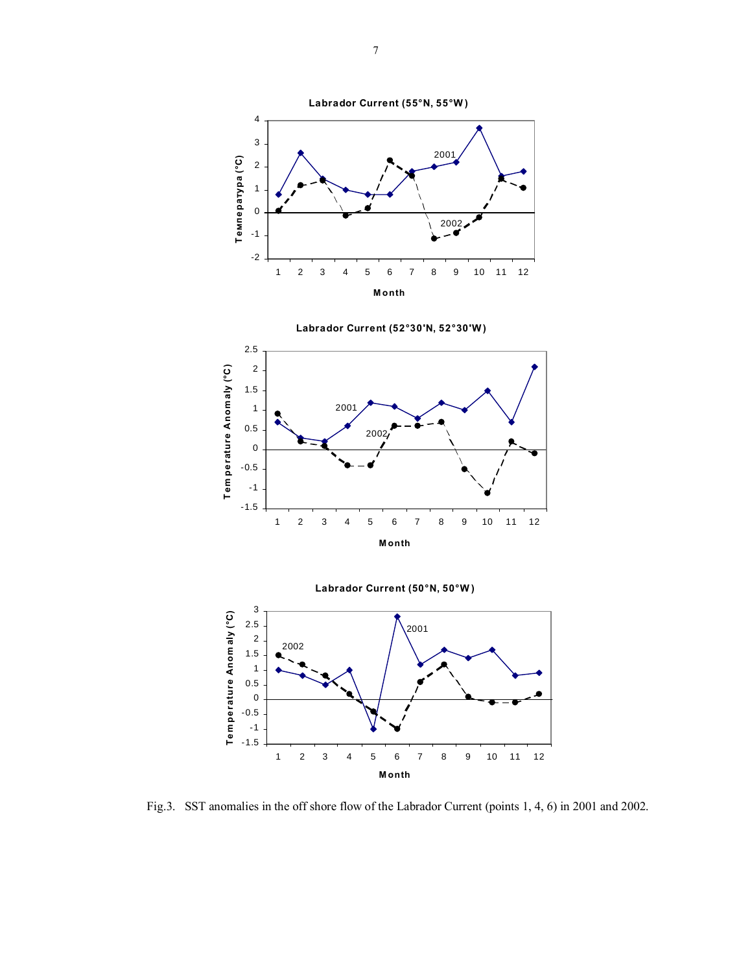





Fig.3. SST anomalies in the off shore flow of the Labrador Current (points 1, 4, 6) in 2001 and 2002.

7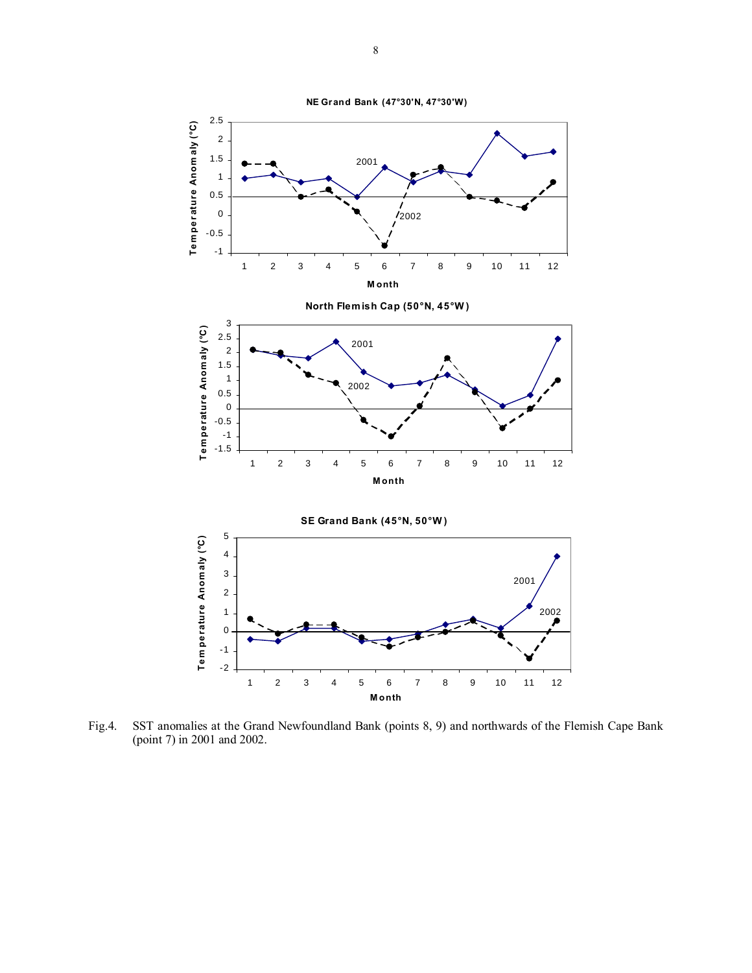



1 2 3 4 5 6 7 8 9 10 11 12 **Month**

2002

-2 -1 0 1

8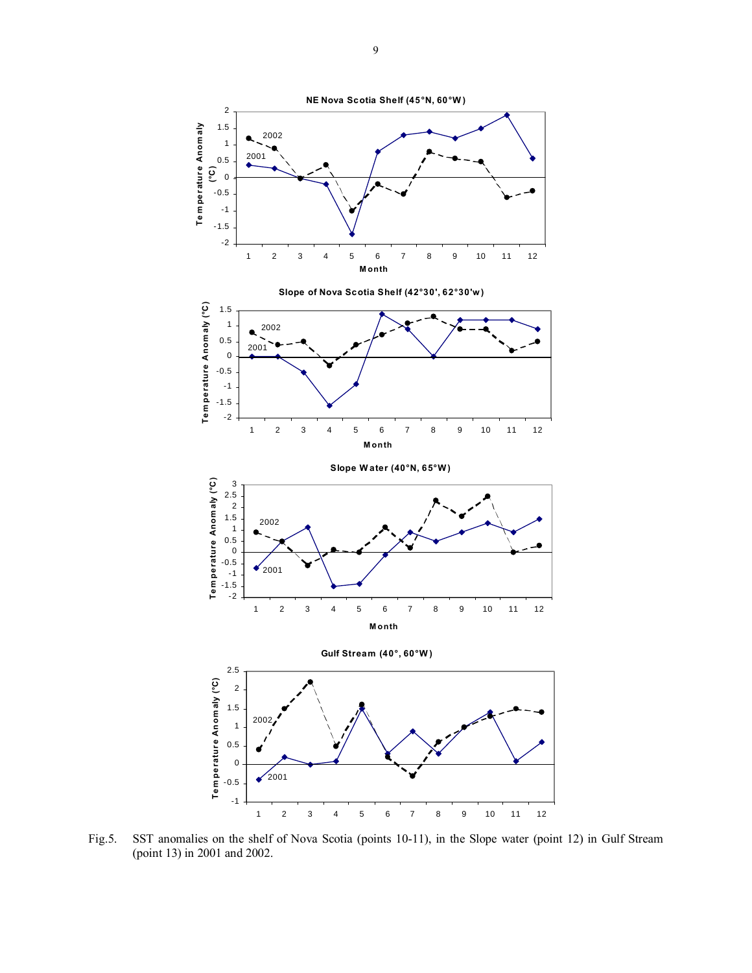

Fig.5. SST anomalies on the shelf of Nova Scotia (points 10-11), in the Slope water (point 12) in Gulf Stream (point 13) in 2001 and 2002.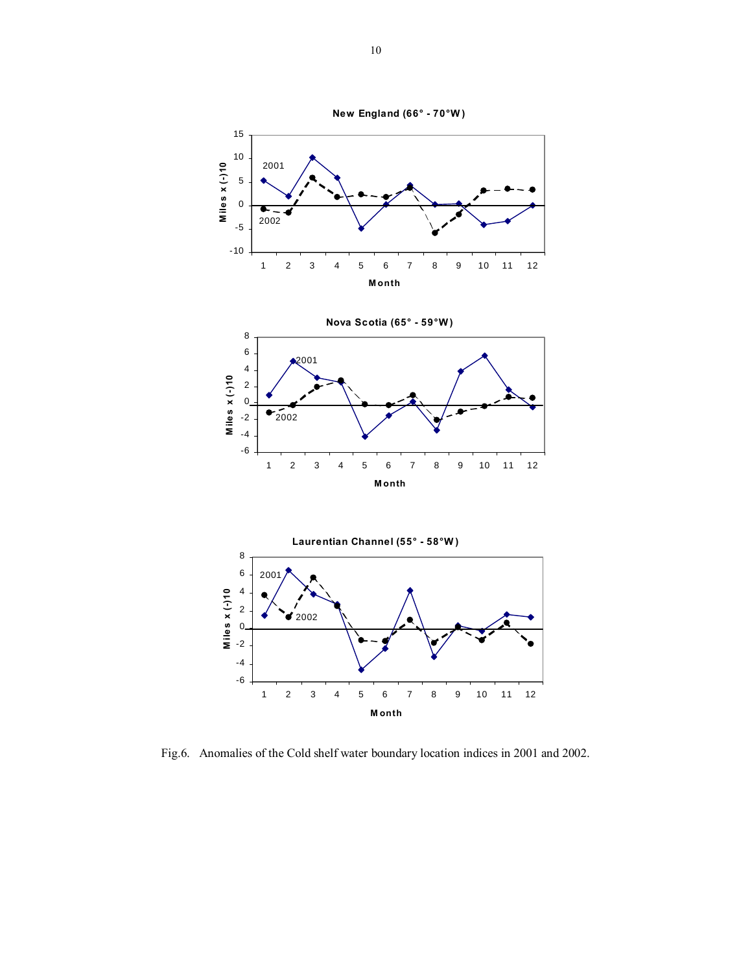

**Nova Scotia (65° - 59°W )** 8 6 2001 4 Miles  $x (-)10$ **M ile s x (-)10** 2 0  $2002$ -2 -4 -6 1 2 3 4 5 6 7 8 9 10 11 12 **Month**



Fig.6. Anomalies of the Cold shelf water boundary location indices in 2001 and 2002.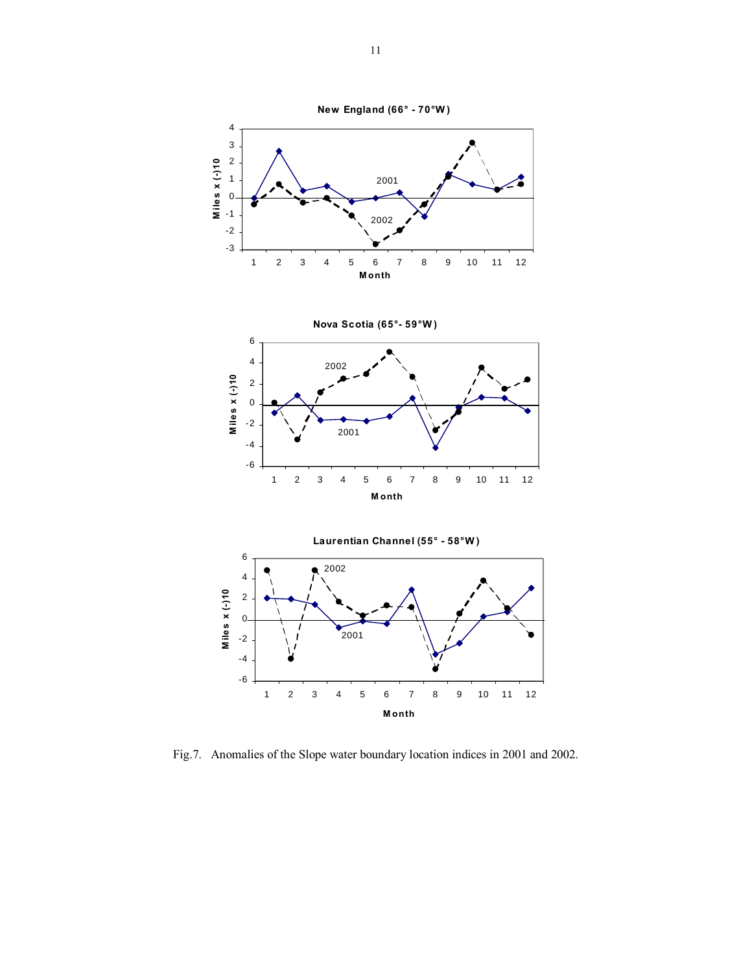

Fig.7. Anomalies of the Slope water boundary location indices in 2001 and 2002.

**Month**